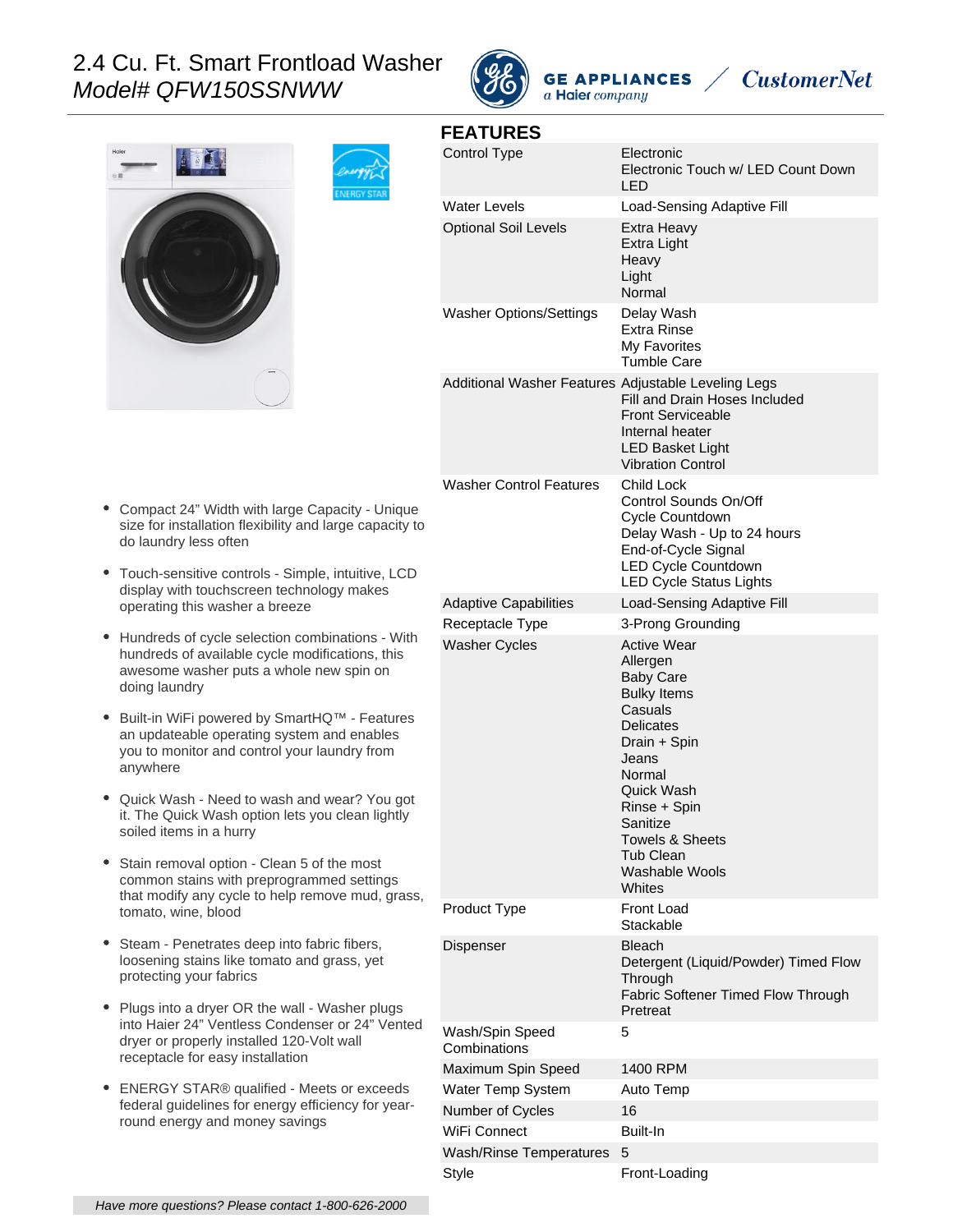# 2.4 Cu. Ft. Smart Frontload Washer Model# QFW150SSNWW









| <b>FEATURES</b>                                     |                                                                                                                                                                                                                                                                           |
|-----------------------------------------------------|---------------------------------------------------------------------------------------------------------------------------------------------------------------------------------------------------------------------------------------------------------------------------|
| Control Type                                        | Electronic<br>Electronic Touch w/ LED Count Down<br>LED                                                                                                                                                                                                                   |
| <b>Water Levels</b>                                 | Load-Sensing Adaptive Fill                                                                                                                                                                                                                                                |
| <b>Optional Soil Levels</b>                         | Extra Heavy<br>Extra Light<br>Heavy<br>Light<br>Normal                                                                                                                                                                                                                    |
| <b>Washer Options/Settings</b>                      | Delay Wash<br><b>Extra Rinse</b><br>My Favorites<br><b>Tumble Care</b>                                                                                                                                                                                                    |
| Additional Washer Features Adjustable Leveling Legs | Fill and Drain Hoses Included<br><b>Front Serviceable</b><br>Internal heater<br><b>LED Basket Light</b><br><b>Vibration Control</b>                                                                                                                                       |
| <b>Washer Control Features</b>                      | <b>Child Lock</b><br>Control Sounds On/Off<br>Cycle Countdown<br>Delay Wash - Up to 24 hours<br>End-of-Cycle Signal<br><b>LED Cycle Countdown</b><br><b>LED Cycle Status Lights</b>                                                                                       |
| <b>Adaptive Capabilities</b>                        | Load-Sensing Adaptive Fill                                                                                                                                                                                                                                                |
| Receptacle Type                                     | 3-Prong Grounding                                                                                                                                                                                                                                                         |
| <b>Washer Cycles</b>                                | <b>Active Wear</b><br>Allergen<br><b>Baby Care</b><br><b>Bulky Items</b><br>Casuals<br><b>Delicates</b><br>Drain + Spin<br>Jeans<br>Normal<br>Quick Wash<br>Rinse + Spin<br>Sanitize<br><b>Towels &amp; Sheets</b><br><b>Tub Clean</b><br><b>Washable Wools</b><br>Whites |
| Product Type                                        | <b>Front Load</b><br>Stackable                                                                                                                                                                                                                                            |
| Dispenser                                           | <b>Bleach</b><br>Detergent (Liquid/Powder) Timed Flow<br>Through<br>Fabric Softener Timed Flow Through<br>Pretreat                                                                                                                                                        |
| Wash/Spin Speed<br>Combinations                     | 5                                                                                                                                                                                                                                                                         |
| Maximum Spin Speed                                  | 1400 RPM                                                                                                                                                                                                                                                                  |
| Water Temp System                                   | Auto Temp                                                                                                                                                                                                                                                                 |
| Number of Cycles                                    | 16                                                                                                                                                                                                                                                                        |
| WiFi Connect                                        | Built-In                                                                                                                                                                                                                                                                  |
| Wash/Rinse Temperatures                             | 5                                                                                                                                                                                                                                                                         |

Style **Front-Loading** 

- Compact 24" Width with large Capacity Unique size for installation flexibility and large capacity to do laundry less often
- Touch-sensitive controls Simple, intuitive, LCD display with touchscreen technology makes operating this washer a breeze
- Hundreds of cycle selection combinations With hundreds of available cycle modifications, this awesome washer puts a whole new spin on doing laundry
- Built-in WiFi powered by SmartHQ™ Features an updateable operating system and enables you to monitor and control your laundry from anywhere
- Quick Wash Need to wash and wear? You got it. The Quick Wash option lets you clean lightly soiled items in a hurry
- Stain removal option Clean 5 of the most common stains with preprogrammed settings that modify any cycle to help remove mud, grass, tomato, wine, blood
- Steam Penetrates deep into fabric fibers, loosening stains like tomato and grass, yet protecting your fabrics
- Plugs into a dryer OR the wall Washer plugs into Haier 24" Ventless Condenser or 24" Vented dryer or properly installed 120-Volt wall receptacle for easy installation
- ENERGY STAR® qualified Meets or exceeds federal guidelines for energy efficiency for yearround energy and money savings